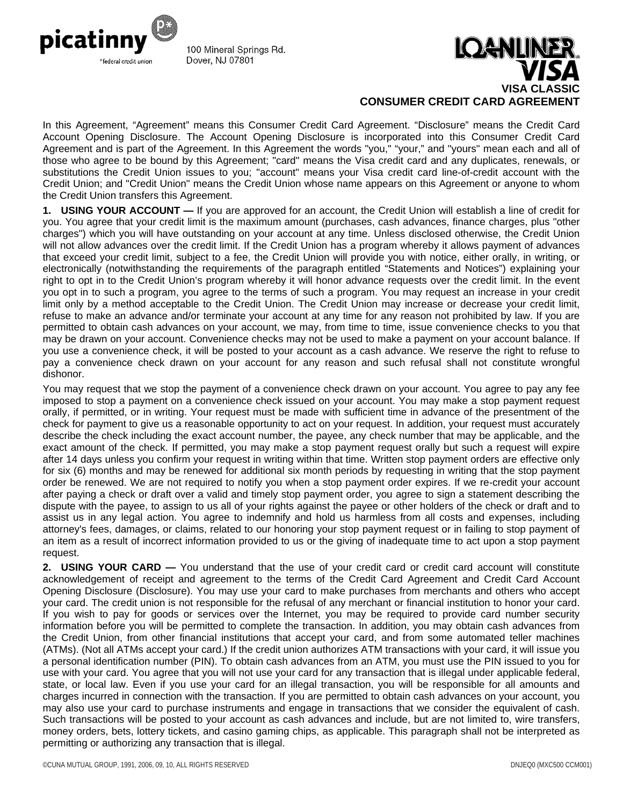

100 Mineral Springs Rd. Dover, NJ 07801



In this Agreement, "Agreement" means this Consumer Credit Card Agreement. "Disclosure" means the Credit Card Account Opening Disclosure. The Account Opening Disclosure is incorporated into this Consumer Credit Card Agreement and is part of the Agreement. In this Agreement the words "you," "your," and "yours" mean each and all of those who agree to be bound by this Agreement; "card" means the Visa credit card and any duplicates, renewals, or substitutions the Credit Union issues to you; "account" means your Visa credit card line-of-credit account with the Credit Union; and "Credit Union" means the Credit Union whose name appears on this Agreement or anyone to whom the Credit Union transfers this Agreement.

**1. USING YOUR ACCOUNT —** If you are approved for an account, the Credit Union will establish a line of credit for you. You agree that your credit limit is the maximum amount (purchases, cash advances, finance charges, plus "other charges") which you will have outstanding on your account at any time. Unless disclosed otherwise, the Credit Union will not allow advances over the credit limit. If the Credit Union has a program whereby it allows payment of advances that exceed your credit limit, subject to a fee, the Credit Union will provide you with notice, either orally, in writing, or electronically (notwithstanding the requirements of the paragraph entitled "Statements and Notices") explaining your right to opt in to the Credit Union's program whereby it will honor advance requests over the credit limit. In the event you opt in to such a program, you agree to the terms of such a program. You may request an increase in your credit limit only by a method acceptable to the Credit Union. The Credit Union may increase or decrease your credit limit, refuse to make an advance and/or terminate your account at any time for any reason not prohibited by law. If you are permitted to obtain cash advances on your account, we may, from time to time, issue convenience checks to you that may be drawn on your account. Convenience checks may not be used to make a payment on your account balance. If you use a convenience check, it will be posted to your account as a cash advance. We reserve the right to refuse to pay a convenience check drawn on your account for any reason and such refusal shall not constitute wrongful dishonor.

You may request that we stop the payment of a convenience check drawn on your account. You agree to pay any fee imposed to stop a payment on a convenience check issued on your account. You may make a stop payment request orally, if permitted, or in writing. Your request must be made with sufficient time in advance of the presentment of the check for payment to give us a reasonable opportunity to act on your request. In addition, your request must accurately describe the check including the exact account number, the payee, any check number that may be applicable, and the exact amount of the check. If permitted, you may make a stop payment request orally but such a request will expire after 14 days unless you confirm your request in writing within that time. Written stop payment orders are effective only for six (6) months and may be renewed for additional six month periods by requesting in writing that the stop payment order be renewed. We are not required to notify you when a stop payment order expires. If we re-credit your account after paying a check or draft over a valid and timely stop payment order, you agree to sign a statement describing the dispute with the payee, to assign to us all of your rights against the payee or other holders of the check or draft and to assist us in any legal action. You agree to indemnify and hold us harmless from all costs and expenses, including attorney's fees, damages, or claims, related to our honoring your stop payment request or in failing to stop payment of an item as a result of incorrect information provided to us or the giving of inadequate time to act upon a stop payment request.

**2. USING YOUR CARD —** You understand that the use of your credit card or credit card account will constitute acknowledgement of receipt and agreement to the terms of the Credit Card Agreement and Credit Card Account Opening Disclosure (Disclosure). You may use your card to make purchases from merchants and others who accept your card. The credit union is not responsible for the refusal of any merchant or financial institution to honor your card. If you wish to pay for goods or services over the Internet, you may be required to provide card number security information before you will be permitted to complete the transaction. In addition, you may obtain cash advances from the Credit Union, from other financial institutions that accept your card, and from some automated teller machines (ATMs). (Not all ATMs accept your card.) If the credit union authorizes ATM transactions with your card, it will issue you a personal identification number (PIN). To obtain cash advances from an ATM, you must use the PIN issued to you for use with your card. You agree that you will not use your card for any transaction that is illegal under applicable federal, state, or local law. Even if you use your card for an illegal transaction, you will be responsible for all amounts and charges incurred in connection with the transaction. If you are permitted to obtain cash advances on your account, you may also use your card to purchase instruments and engage in transactions that we consider the equivalent of cash. Such transactions will be posted to your account as cash advances and include, but are not limited to, wire transfers, money orders, bets, lottery tickets, and casino gaming chips, as applicable. This paragraph shall not be interpreted as permitting or authorizing any transaction that is illegal.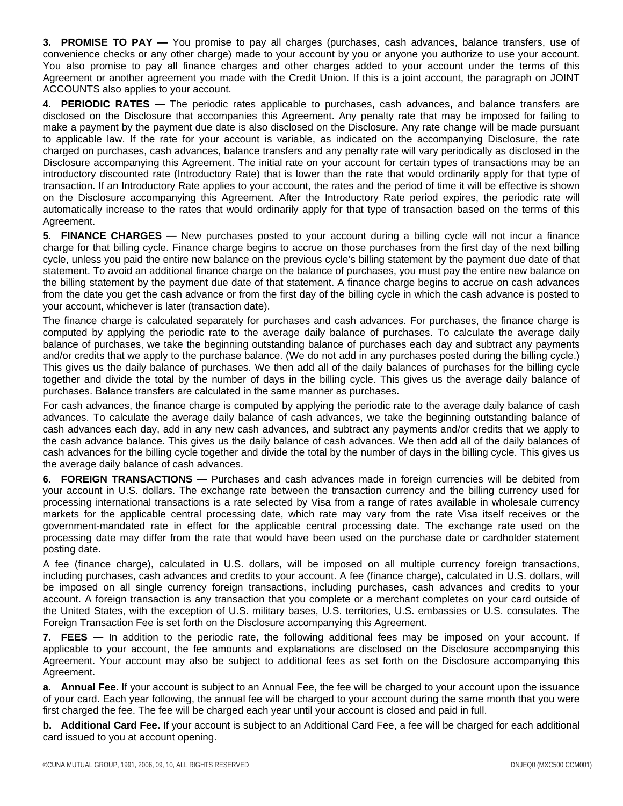**3. PROMISE TO PAY —** You promise to pay all charges (purchases, cash advances, balance transfers, use of convenience checks or any other charge) made to your account by you or anyone you authorize to use your account. You also promise to pay all finance charges and other charges added to your account under the terms of this Agreement or another agreement you made with the Credit Union. If this is a joint account, the paragraph on JOINT ACCOUNTS also applies to your account.

**4. PERIODIC RATES —** The periodic rates applicable to purchases, cash advances, and balance transfers are disclosed on the Disclosure that accompanies this Agreement. Any penalty rate that may be imposed for failing to make a payment by the payment due date is also disclosed on the Disclosure. Any rate change will be made pursuant to applicable law. If the rate for your account is variable, as indicated on the accompanying Disclosure, the rate charged on purchases, cash advances, balance transfers and any penalty rate will vary periodically as disclosed in the Disclosure accompanying this Agreement. The initial rate on your account for certain types of transactions may be an introductory discounted rate (Introductory Rate) that is lower than the rate that would ordinarily apply for that type of transaction. If an Introductory Rate applies to your account, the rates and the period of time it will be effective is shown on the Disclosure accompanying this Agreement. After the Introductory Rate period expires, the periodic rate will automatically increase to the rates that would ordinarily apply for that type of transaction based on the terms of this Agreement.

**5. FINANCE CHARGES —** New purchases posted to your account during a billing cycle will not incur a finance charge for that billing cycle. Finance charge begins to accrue on those purchases from the first day of the next billing cycle, unless you paid the entire new balance on the previous cycle's billing statement by the payment due date of that statement. To avoid an additional finance charge on the balance of purchases, you must pay the entire new balance on the billing statement by the payment due date of that statement. A finance charge begins to accrue on cash advances from the date you get the cash advance or from the first day of the billing cycle in which the cash advance is posted to your account, whichever is later (transaction date).

The finance charge is calculated separately for purchases and cash advances. For purchases, the finance charge is computed by applying the periodic rate to the average daily balance of purchases. To calculate the average daily balance of purchases, we take the beginning outstanding balance of purchases each day and subtract any payments and/or credits that we apply to the purchase balance. (We do not add in any purchases posted during the billing cycle.) This gives us the daily balance of purchases. We then add all of the daily balances of purchases for the billing cycle together and divide the total by the number of days in the billing cycle. This gives us the average daily balance of purchases. Balance transfers are calculated in the same manner as purchases.

For cash advances, the finance charge is computed by applying the periodic rate to the average daily balance of cash advances. To calculate the average daily balance of cash advances, we take the beginning outstanding balance of cash advances each day, add in any new cash advances, and subtract any payments and/or credits that we apply to the cash advance balance. This gives us the daily balance of cash advances. We then add all of the daily balances of cash advances for the billing cycle together and divide the total by the number of days in the billing cycle. This gives us the average daily balance of cash advances.

**6. FOREIGN TRANSACTIONS —** Purchases and cash advances made in foreign currencies will be debited from your account in U.S. dollars. The exchange rate between the transaction currency and the billing currency used for processing international transactions is a rate selected by Visa from a range of rates available in wholesale currency markets for the applicable central processing date, which rate may vary from the rate Visa itself receives or the government-mandated rate in effect for the applicable central processing date. The exchange rate used on the processing date may differ from the rate that would have been used on the purchase date or cardholder statement posting date.

A fee (finance charge), calculated in U.S. dollars, will be imposed on all multiple currency foreign transactions, including purchases, cash advances and credits to your account. A fee (finance charge), calculated in U.S. dollars, will be imposed on all single currency foreign transactions, including purchases, cash advances and credits to your account. A foreign transaction is any transaction that you complete or a merchant completes on your card outside of the United States, with the exception of U.S. military bases, U.S. territories, U.S. embassies or U.S. consulates. The Foreign Transaction Fee is set forth on the Disclosure accompanying this Agreement.

**7. FEES —** In addition to the periodic rate, the following additional fees may be imposed on your account. If applicable to your account, the fee amounts and explanations are disclosed on the Disclosure accompanying this Agreement. Your account may also be subject to additional fees as set forth on the Disclosure accompanying this Agreement.

**a. Annual Fee.** If your account is subject to an Annual Fee, the fee will be charged to your account upon the issuance of your card. Each year following, the annual fee will be charged to your account during the same month that you were first charged the fee. The fee will be charged each year until your account is closed and paid in full.

**b. Additional Card Fee.** If your account is subject to an Additional Card Fee, a fee will be charged for each additional card issued to you at account opening.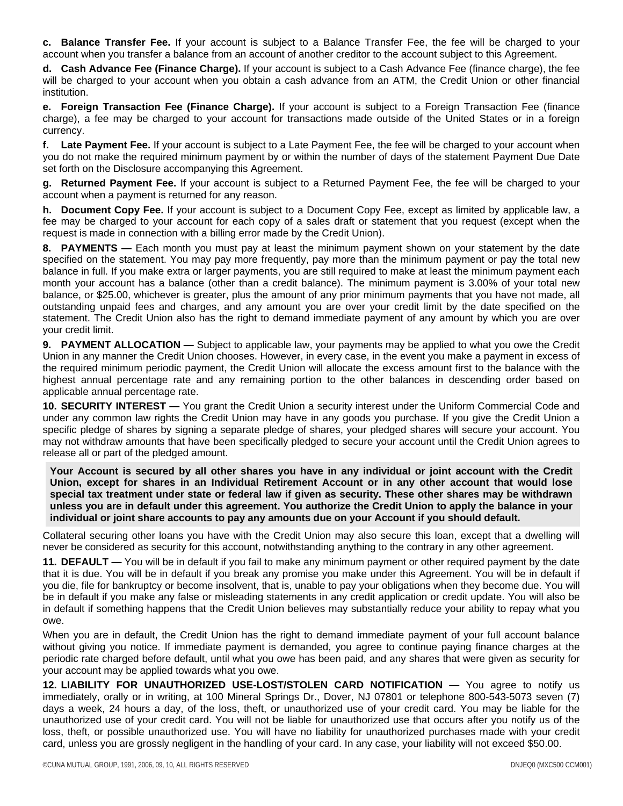**c. Balance Transfer Fee.** If your account is subject to a Balance Transfer Fee, the fee will be charged to your account when you transfer a balance from an account of another creditor to the account subject to this Agreement.

**d. Cash Advance Fee (Finance Charge).** If your account is subject to a Cash Advance Fee (finance charge), the fee will be charged to your account when you obtain a cash advance from an ATM, the Credit Union or other financial institution.

**e. Foreign Transaction Fee (Finance Charge).** If your account is subject to a Foreign Transaction Fee (finance charge), a fee may be charged to your account for transactions made outside of the United States or in a foreign currency.

**f. Late Payment Fee.** If your account is subject to a Late Payment Fee, the fee will be charged to your account when you do not make the required minimum payment by or within the number of days of the statement Payment Due Date set forth on the Disclosure accompanying this Agreement.

**g. Returned Payment Fee.** If your account is subject to a Returned Payment Fee, the fee will be charged to your account when a payment is returned for any reason.

**h. Document Copy Fee.** If your account is subject to a Document Copy Fee, except as limited by applicable law, a fee may be charged to your account for each copy of a sales draft or statement that you request (except when the request is made in connection with a billing error made by the Credit Union).

**8. PAYMENTS —** Each month you must pay at least the minimum payment shown on your statement by the date specified on the statement. You may pay more frequently, pay more than the minimum payment or pay the total new balance in full. If you make extra or larger payments, you are still required to make at least the minimum payment each month your account has a balance (other than a credit balance). The minimum payment is 3.00% of your total new balance, or \$25.00, whichever is greater, plus the amount of any prior minimum payments that you have not made, all outstanding unpaid fees and charges, and any amount you are over your credit limit by the date specified on the statement. The Credit Union also has the right to demand immediate payment of any amount by which you are over your credit limit.

**9. PAYMENT ALLOCATION —** Subject to applicable law, your payments may be applied to what you owe the Credit Union in any manner the Credit Union chooses. However, in every case, in the event you make a payment in excess of the required minimum periodic payment, the Credit Union will allocate the excess amount first to the balance with the highest annual percentage rate and any remaining portion to the other balances in descending order based on applicable annual percentage rate.

**10. SECURITY INTEREST —** You grant the Credit Union a security interest under the Uniform Commercial Code and under any common law rights the Credit Union may have in any goods you purchase. If you give the Credit Union a specific pledge of shares by signing a separate pledge of shares, your pledged shares will secure your account. You may not withdraw amounts that have been specifically pledged to secure your account until the Credit Union agrees to release all or part of the pledged amount.

**Your Account is secured by all other shares you have in any individual or joint account with the Credit Union, except for shares in an Individual Retirement Account or in any other account that would lose special tax treatment under state or federal law if given as security. These other shares may be withdrawn unless you are in default under this agreement. You authorize the Credit Union to apply the balance in your individual or joint share accounts to pay any amounts due on your Account if you should default.** 

Collateral securing other loans you have with the Credit Union may also secure this loan, except that a dwelling will never be considered as security for this account, notwithstanding anything to the contrary in any other agreement.

**11. DEFAULT —** You will be in default if you fail to make any minimum payment or other required payment by the date that it is due. You will be in default if you break any promise you make under this Agreement. You will be in default if you die, file for bankruptcy or become insolvent, that is, unable to pay your obligations when they become due. You will be in default if you make any false or misleading statements in any credit application or credit update. You will also be in default if something happens that the Credit Union believes may substantially reduce your ability to repay what you owe.

When you are in default, the Credit Union has the right to demand immediate payment of your full account balance without giving you notice. If immediate payment is demanded, you agree to continue paying finance charges at the periodic rate charged before default, until what you owe has been paid, and any shares that were given as security for your account may be applied towards what you owe.

**12. LIABILITY FOR UNAUTHORIZED USE-LOST/STOLEN CARD NOTIFICATION —** You agree to notify us immediately, orally or in writing, at 100 Mineral Springs Dr., Dover, NJ 07801 or telephone 800-543-5073 seven (7) days a week, 24 hours a day, of the loss, theft, or unauthorized use of your credit card. You may be liable for the unauthorized use of your credit card. You will not be liable for unauthorized use that occurs after you notify us of the loss, theft, or possible unauthorized use. You will have no liability for unauthorized purchases made with your credit card, unless you are grossly negligent in the handling of your card. In any case, your liability will not exceed \$50.00.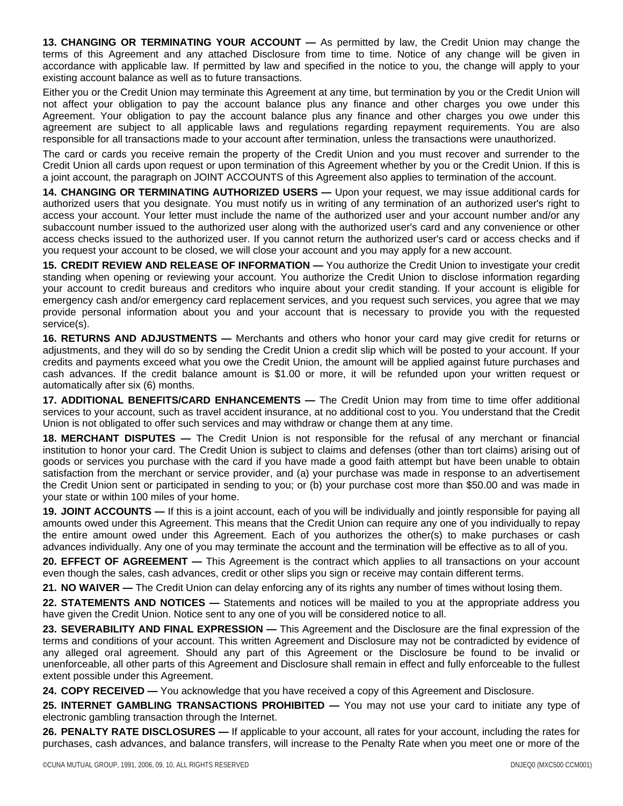**13. CHANGING OR TERMINATING YOUR ACCOUNT —** As permitted by law, the Credit Union may change the terms of this Agreement and any attached Disclosure from time to time. Notice of any change will be given in accordance with applicable law. If permitted by law and specified in the notice to you, the change will apply to your existing account balance as well as to future transactions.

Either you or the Credit Union may terminate this Agreement at any time, but termination by you or the Credit Union will not affect your obligation to pay the account balance plus any finance and other charges you owe under this Agreement. Your obligation to pay the account balance plus any finance and other charges you owe under this agreement are subject to all applicable laws and regulations regarding repayment requirements. You are also responsible for all transactions made to your account after termination, unless the transactions were unauthorized.

The card or cards you receive remain the property of the Credit Union and you must recover and surrender to the Credit Union all cards upon request or upon termination of this Agreement whether by you or the Credit Union. If this is a joint account, the paragraph on JOINT ACCOUNTS of this Agreement also applies to termination of the account.

**14. CHANGING OR TERMINATING AUTHORIZED USERS —** Upon your request, we may issue additional cards for authorized users that you designate. You must notify us in writing of any termination of an authorized user's right to access your account. Your letter must include the name of the authorized user and your account number and/or any subaccount number issued to the authorized user along with the authorized user's card and any convenience or other access checks issued to the authorized user. If you cannot return the authorized user's card or access checks and if you request your account to be closed, we will close your account and you may apply for a new account.

**15. CREDIT REVIEW AND RELEASE OF INFORMATION —** You authorize the Credit Union to investigate your credit standing when opening or reviewing your account. You authorize the Credit Union to disclose information regarding your account to credit bureaus and creditors who inquire about your credit standing. If your account is eligible for emergency cash and/or emergency card replacement services, and you request such services, you agree that we may provide personal information about you and your account that is necessary to provide you with the requested service(s).

**16. RETURNS AND ADJUSTMENTS —** Merchants and others who honor your card may give credit for returns or adjustments, and they will do so by sending the Credit Union a credit slip which will be posted to your account. If your credits and payments exceed what you owe the Credit Union, the amount will be applied against future purchases and cash advances. If the credit balance amount is \$1.00 or more, it will be refunded upon your written request or automatically after six (6) months.

**17. ADDITIONAL BENEFITS/CARD ENHANCEMENTS —** The Credit Union may from time to time offer additional services to your account, such as travel accident insurance, at no additional cost to you. You understand that the Credit Union is not obligated to offer such services and may withdraw or change them at any time.

**18. MERCHANT DISPUTES —** The Credit Union is not responsible for the refusal of any merchant or financial institution to honor your card. The Credit Union is subject to claims and defenses (other than tort claims) arising out of goods or services you purchase with the card if you have made a good faith attempt but have been unable to obtain satisfaction from the merchant or service provider, and (a) your purchase was made in response to an advertisement the Credit Union sent or participated in sending to you; or (b) your purchase cost more than \$50.00 and was made in your state or within 100 miles of your home.

**19. JOINT ACCOUNTS —** If this is a joint account, each of you will be individually and jointly responsible for paying all amounts owed under this Agreement. This means that the Credit Union can require any one of you individually to repay the entire amount owed under this Agreement. Each of you authorizes the other(s) to make purchases or cash advances individually. Any one of you may terminate the account and the termination will be effective as to all of you.

**20. EFFECT OF AGREEMENT —** This Agreement is the contract which applies to all transactions on your account even though the sales, cash advances, credit or other slips you sign or receive may contain different terms.

**21. NO WAIVER —** The Credit Union can delay enforcing any of its rights any number of times without losing them.

**22. STATEMENTS AND NOTICES —** Statements and notices will be mailed to you at the appropriate address you have given the Credit Union. Notice sent to any one of you will be considered notice to all.

**23. SEVERABILITY AND FINAL EXPRESSION —** This Agreement and the Disclosure are the final expression of the terms and conditions of your account. This written Agreement and Disclosure may not be contradicted by evidence of any alleged oral agreement. Should any part of this Agreement or the Disclosure be found to be invalid or unenforceable, all other parts of this Agreement and Disclosure shall remain in effect and fully enforceable to the fullest extent possible under this Agreement.

**24. COPY RECEIVED —** You acknowledge that you have received a copy of this Agreement and Disclosure.

25. **INTERNET GAMBLING TRANSACTIONS PROHIBITED** — You may not use your card to initiate any type of electronic gambling transaction through the Internet.

**26. PENALTY RATE DISCLOSURES —** If applicable to your account, all rates for your account, including the rates for purchases, cash advances, and balance transfers, will increase to the Penalty Rate when you meet one or more of the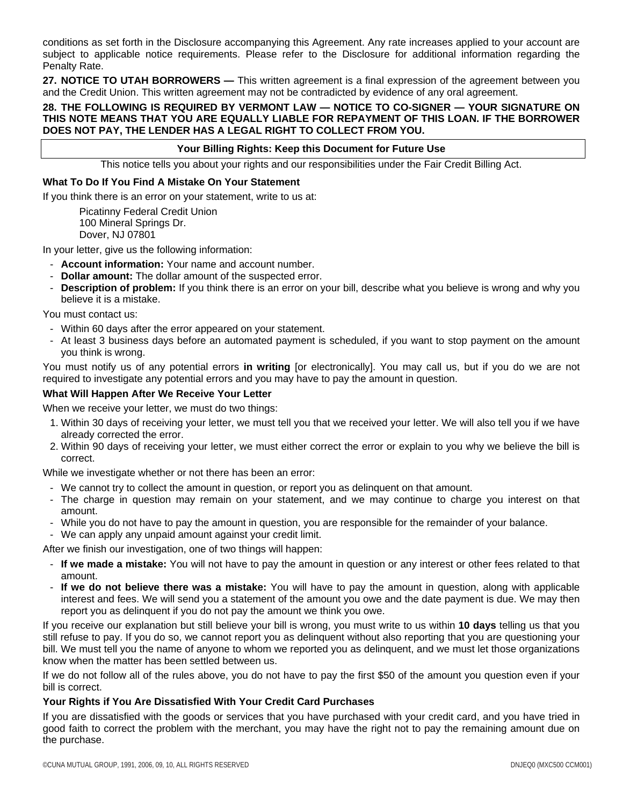conditions as set forth in the Disclosure accompanying this Agreement. Any rate increases applied to your account are subject to applicable notice requirements. Please refer to the Disclosure for additional information regarding the Penalty Rate.

**27. NOTICE TO UTAH BORROWERS —** This written agreement is a final expression of the agreement between you and the Credit Union. This written agreement may not be contradicted by evidence of any oral agreement.

# **28. THE FOLLOWING IS REQUIRED BY VERMONT LAW — NOTICE TO CO-SIGNER — YOUR SIGNATURE ON THIS NOTE MEANS THAT YOU ARE EQUALLY LIABLE FOR REPAYMENT OF THIS LOAN. IF THE BORROWER DOES NOT PAY, THE LENDER HAS A LEGAL RIGHT TO COLLECT FROM YOU.**

# **Your Billing Rights: Keep this Document for Future Use**

This notice tells you about your rights and our responsibilities under the Fair Credit Billing Act.

# **What To Do If You Find A Mistake On Your Statement**

If you think there is an error on your statement, write to us at:

Picatinny Federal Credit Union 100 Mineral Springs Dr. Dover, NJ 07801

In your letter, give us the following information:

- **Account information:** Your name and account number.
- **Dollar amount:** The dollar amount of the suspected error.
- **Description of problem:** If you think there is an error on your bill, describe what you believe is wrong and why you believe it is a mistake.

You must contact us:

- Within 60 days after the error appeared on your statement.
- At least 3 business days before an automated payment is scheduled, if you want to stop payment on the amount you think is wrong.

You must notify us of any potential errors **in writing** [or electronically]. You may call us, but if you do we are not required to investigate any potential errors and you may have to pay the amount in question.

#### **What Will Happen After We Receive Your Letter**

When we receive your letter, we must do two things:

- 1. Within 30 days of receiving your letter, we must tell you that we received your letter. We will also tell you if we have already corrected the error.
- 2. Within 90 days of receiving your letter, we must either correct the error or explain to you why we believe the bill is correct.

While we investigate whether or not there has been an error:

- We cannot try to collect the amount in question, or report you as delinquent on that amount.
- The charge in question may remain on your statement, and we may continue to charge you interest on that amount.
- While you do not have to pay the amount in question, you are responsible for the remainder of your balance.
- We can apply any unpaid amount against your credit limit.

After we finish our investigation, one of two things will happen:

- **If we made a mistake:** You will not have to pay the amount in question or any interest or other fees related to that amount.
- **If we do not believe there was a mistake:** You will have to pay the amount in question, along with applicable interest and fees. We will send you a statement of the amount you owe and the date payment is due. We may then report you as delinquent if you do not pay the amount we think you owe.

If you receive our explanation but still believe your bill is wrong, you must write to us within **10 days** telling us that you still refuse to pay. If you do so, we cannot report you as delinquent without also reporting that you are questioning your bill. We must tell you the name of anyone to whom we reported you as delinquent, and we must let those organizations know when the matter has been settled between us.

If we do not follow all of the rules above, you do not have to pay the first \$50 of the amount you question even if your bill is correct.

# **Your Rights if You Are Dissatisfied With Your Credit Card Purchases**

If you are dissatisfied with the goods or services that you have purchased with your credit card, and you have tried in good faith to correct the problem with the merchant, you may have the right not to pay the remaining amount due on the purchase.